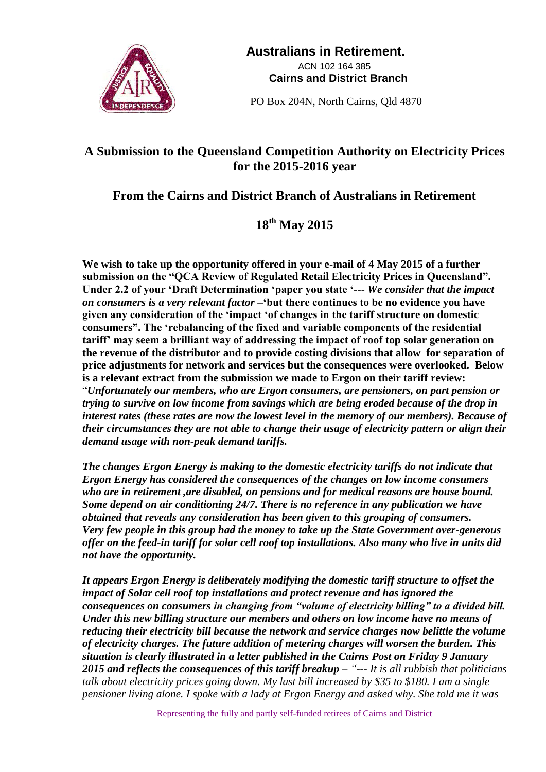

 **Australians in Retirement.** ACN 102 164 385  **Cairns and District Branch**

PO Box 204N, North Cairns, Qld 4870

## **A Submission to the Queensland Competition Authority on Electricity Prices for the 2015-2016 year**

## **From the Cairns and District Branch of Australians in Retirement**

## **18th May 2015**

**We wish to take up the opportunity offered in your e-mail of 4 May 2015 of a further submission on the "QCA Review of Regulated Retail Electricity Prices in Queensland". Under 2.2 of your 'Draft Determination 'paper you state '---** *We consider that the impact on consumers is a very relevant factor* **–'but there continues to be no evidence you have given any consideration of the 'impact 'of changes in the tariff structure on domestic consumers". The 'rebalancing of the fixed and variable components of the residential tariff' may seem a brilliant way of addressing the impact of roof top solar generation on the revenue of the distributor and to provide costing divisions that allow for separation of price adjustments for network and services but the consequences were overlooked. Below is a relevant extract from the submission we made to Ergon on their tariff review:** "*Unfortunately our members, who are Ergon consumers, are pensioners, on part pension or trying to survive on low income from savings which are being eroded because of the drop in interest rates (these rates are now the lowest level in the memory of our members). Because of their circumstances they are not able to change their usage of electricity pattern or align their demand usage with non-peak demand tariffs.*

*The changes Ergon Energy is making to the domestic electricity tariffs do not indicate that Ergon Energy has considered the consequences of the changes on low income consumers who are in retirement ,are disabled, on pensions and for medical reasons are house bound. Some depend on air conditioning 24/7. There is no reference in any publication we have obtained that reveals any consideration has been given to this grouping of consumers. Very few people in this group had the money to take up the State Government over-generous offer on the feed-in tariff for solar cell roof top installations. Also many who live in units did not have the opportunity.*

*It appears Ergon Energy is deliberately modifying the domestic tariff structure to offset the impact of Solar cell roof top installations and protect revenue and has ignored the consequences on consumers in changing from "volume of electricity billing" to a divided bill. Under this new billing structure our members and others on low income have no means of reducing their electricity bill because the network and service charges now belittle the volume of electricity charges. The future addition of metering charges will worsen the burden. This situation is clearly illustrated in a letter published in the Cairns Post on Friday 9 January 2015 and reflects the consequences of this tariff breakup – "--- It is all rubbish that politicians talk about electricity prices going down. My last bill increased by \$35 to \$180. I am a single pensioner living alone. I spoke with a lady at Ergon Energy and asked why. She told me it was*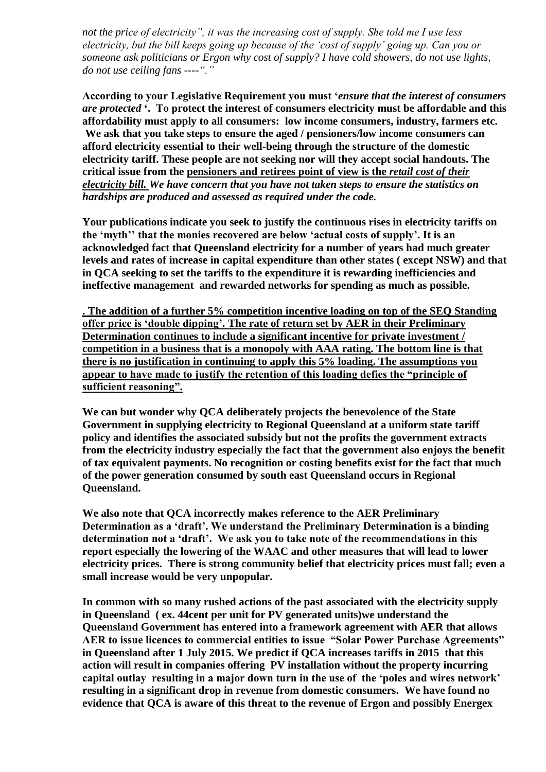*not the price of electricity", it was the increasing cost of supply. She told me I use less electricity, but the bill keeps going up because of the 'cost of supply' going up. Can you or someone ask politicians or Ergon why cost of supply? I have cold showers, do not use lights, do not use ceiling fans ----"."*

**According to your Legislative Requirement you must '***ensure that the interest of consumers are protected* **'. To protect the interest of consumers electricity must be affordable and this affordability must apply to all consumers: low income consumers, industry, farmers etc. We ask that you take steps to ensure the aged / pensioners/low income consumers can afford electricity essential to their well-being through the structure of the domestic electricity tariff. These people are not seeking nor will they accept social handouts. The critical issue from the pensioners and retirees point of view is the** *retail cost of their electricity bill. We have concern that you have not taken steps to ensure the statistics on hardships are produced and assessed as required under the code.* 

**Your publications indicate you seek to justify the continuous rises in electricity tariffs on the 'myth'' that the monies recovered are below 'actual costs of supply'. It is an acknowledged fact that Queensland electricity for a number of years had much greater levels and rates of increase in capital expenditure than other states ( except NSW) and that in QCA seeking to set the tariffs to the expenditure it is rewarding inefficiencies and ineffective management and rewarded networks for spending as much as possible.**

**. The addition of a further 5% competition incentive loading on top of the SEQ Standing offer price is 'double dipping'. The rate of return set by AER in their Preliminary Determination continues to include a significant incentive for private investment / competition in a business that is a monopoly with AAA rating. The bottom line is that there is no justification in continuing to apply this 5% loading. The assumptions you appear to have made to justify the retention of this loading defies the "principle of sufficient reasoning".**

**We can but wonder why QCA deliberately projects the benevolence of the State Government in supplying electricity to Regional Queensland at a uniform state tariff policy and identifies the associated subsidy but not the profits the government extracts from the electricity industry especially the fact that the government also enjoys the benefit of tax equivalent payments. No recognition or costing benefits exist for the fact that much of the power generation consumed by south east Queensland occurs in Regional Queensland.**

**We also note that QCA incorrectly makes reference to the AER Preliminary Determination as a 'draft'. We understand the Preliminary Determination is a binding determination not a 'draft'. We ask you to take note of the recommendations in this report especially the lowering of the WAAC and other measures that will lead to lower electricity prices. There is strong community belief that electricity prices must fall; even a small increase would be very unpopular.**

**In common with so many rushed actions of the past associated with the electricity supply in Queensland ( ex. 44cent per unit for PV generated units)we understand the Queensland Government has entered into a framework agreement with AER that allows AER to issue licences to commercial entities to issue "Solar Power Purchase Agreements" in Queensland after 1 July 2015. We predict if QCA increases tariffs in 2015 that this action will result in companies offering PV installation without the property incurring capital outlay resulting in a major down turn in the use of the 'poles and wires network' resulting in a significant drop in revenue from domestic consumers. We have found no evidence that QCA is aware of this threat to the revenue of Ergon and possibly Energex**